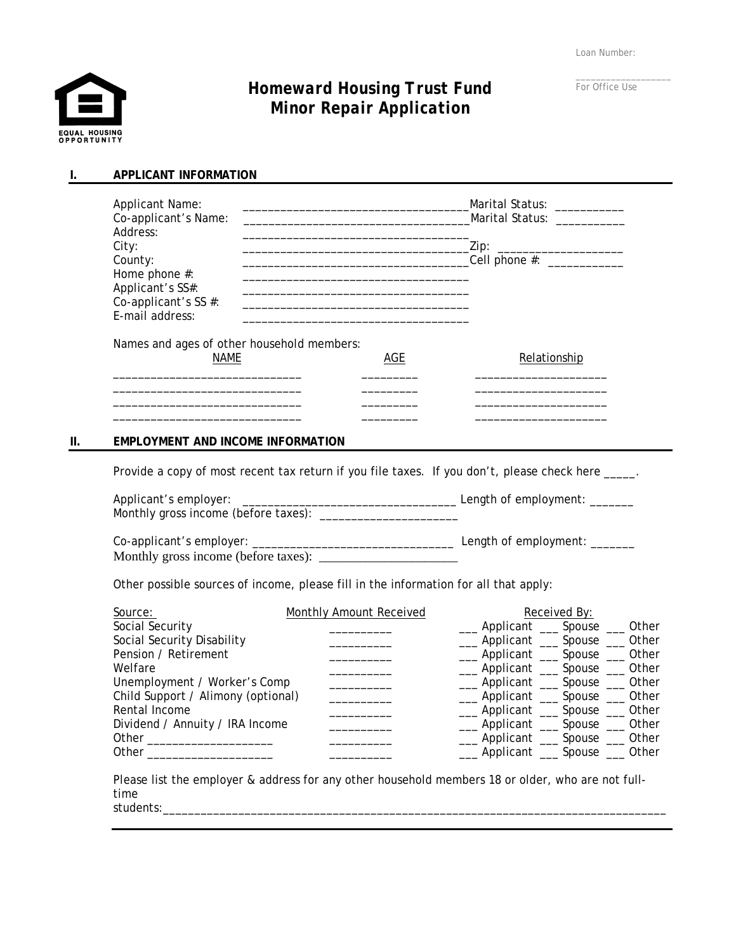Loan Number:



## *Homeward Housing Trust Fund Minor Repair Application*

| For Office Use |  |  |
|----------------|--|--|

### **I. APPLICANT INFORMATION**

|     | <b>Applicant Name:</b><br>the control of the control of the control of the control of the control of the control of<br>Co-applicant's Name:<br>Address:                                                                                                                                                                                                                                                                                                                                                                                                                                                          | Marital Status: ___________                                                                                                                                                                                                                                                                         |
|-----|------------------------------------------------------------------------------------------------------------------------------------------------------------------------------------------------------------------------------------------------------------------------------------------------------------------------------------------------------------------------------------------------------------------------------------------------------------------------------------------------------------------------------------------------------------------------------------------------------------------|-----------------------------------------------------------------------------------------------------------------------------------------------------------------------------------------------------------------------------------------------------------------------------------------------------|
|     | City:<br>County:<br>Home phone #:<br>Applicant's SS#:<br><u> 1980 - Johann John Stone, mars eta biztanleria (h. 1980).</u><br>Co-applicant's SS #:<br><u> 1989 - Andrea Stadt Britain, amerikansk politiker (d. 1989)</u><br>E-mail address:                                                                                                                                                                                                                                                                                                                                                                     |                                                                                                                                                                                                                                                                                                     |
|     | <u> 1980 - An Dùbhlachd ann an Dùbhlachd ann an Dùbhlachd ann an Dùbhlachd ann an Dùbhlachd ann an Dùbhlachd ann a</u><br>Names and ages of other household members:<br><b>NAME</b>                                                                                                                                                                                                                                                                                                                                                                                                                              | AGE<br>Relationship                                                                                                                                                                                                                                                                                 |
| ΙΙ. | the control of the control of the control of the control of the control of<br>the control of the control of the control of the control of the control of the control of<br>EMPLOYMENT AND INCOME INFORMATION                                                                                                                                                                                                                                                                                                                                                                                                     | the control of the control of the control of the control of the control of<br>the control of the control of the control of the control of the control of the control of                                                                                                                             |
|     |                                                                                                                                                                                                                                                                                                                                                                                                                                                                                                                                                                                                                  | Provide a copy of most recent tax return if you file taxes. If you don't, please check here _____.                                                                                                                                                                                                  |
|     |                                                                                                                                                                                                                                                                                                                                                                                                                                                                                                                                                                                                                  |                                                                                                                                                                                                                                                                                                     |
|     | Monthly gross income (before taxes):                                                                                                                                                                                                                                                                                                                                                                                                                                                                                                                                                                             |                                                                                                                                                                                                                                                                                                     |
|     | Other possible sources of income, please fill in the information for all that apply:                                                                                                                                                                                                                                                                                                                                                                                                                                                                                                                             |                                                                                                                                                                                                                                                                                                     |
|     | Monthly Amount Received<br>Source:<br>Social Security<br>Social Security Disability<br>Pension / Retirement<br>Welfare<br>Unemployment / Worker's Comp<br>$\overline{\phantom{a}}$ . The contract of $\overline{\phantom{a}}$<br>Child Support / Alimony (optional)<br><u> 1989 - John Barnett, fransk politiker</u><br>Rental Income<br>Dividend / Annuity / IRA Income<br><u> The Community of the Community of the Community of the Community of the Community of the Community of the Community of the Community of the Community of the Community of the Community of the Community of the Community of</u> | Received By:<br>__ Applicant __ Spouse __ Other<br>__ Applicant __ Spouse __ Other<br>__ Applicant __ Spouse __ Other<br>__ Applicant __ Spouse _ Other<br>__ Applicant __ Spouse __ Other<br>__ Applicant __ Spouse __ Other<br>__ Applicant __ Spouse __ Other<br>__ Applicant __ Spouse __ Other |

Please list the employer & address for any other household members 18 or older, who are not fulltime students:\_\_\_\_\_\_\_\_\_\_\_\_\_\_\_\_\_\_\_\_\_\_\_\_\_\_\_\_\_\_\_\_\_\_\_\_\_\_\_\_\_\_\_\_\_\_\_\_\_\_\_\_\_\_\_\_\_\_\_\_\_\_\_\_\_\_\_\_\_\_\_\_\_\_\_\_\_\_\_\_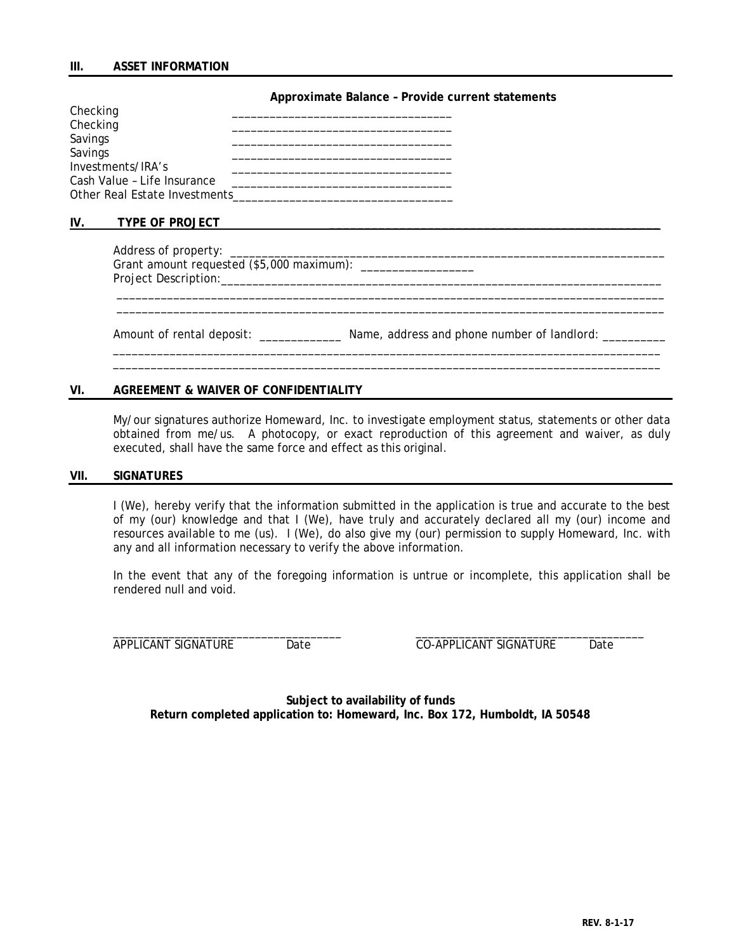## **Approximate Balance – Provide current statements**

| Checking                      |  |  |  |
|-------------------------------|--|--|--|
| Checking                      |  |  |  |
| Savings                       |  |  |  |
| Savings                       |  |  |  |
| Investments/IRA's             |  |  |  |
| Cash Value - Life Insurance   |  |  |  |
|                               |  |  |  |
| Other Real Estate Investments |  |  |  |

#### **IV. TYPE OF PROJECT \_\_\_\_\_\_\_\_\_\_\_\_\_\_\_\_\_\_\_\_\_\_\_\_\_\_\_\_\_\_\_\_\_\_\_\_\_\_\_\_\_\_\_\_\_\_\_**

 Address of property: \_\_\_\_\_\_\_\_\_\_\_\_\_\_\_\_\_\_\_\_\_\_\_\_\_\_\_\_\_\_\_\_\_\_\_\_\_\_\_\_\_\_\_\_\_\_\_\_\_\_\_\_\_\_\_\_\_\_\_\_\_\_\_\_\_\_\_\_\_ Grant amount requested (\$5,000 maximum): \_\_\_\_\_\_\_\_\_\_\_\_\_\_\_\_\_\_ Project Description:\_\_\_\_\_\_\_\_\_\_\_\_\_\_\_\_\_\_\_\_\_\_\_\_\_\_\_\_\_\_\_\_\_\_\_\_\_\_\_\_\_\_\_\_\_\_\_\_\_\_\_\_\_\_\_\_\_\_\_\_\_\_\_\_\_\_\_\_\_\_

Amount of rental deposit: \_\_\_\_\_\_\_\_\_\_\_\_\_\_\_\_\_\_\_ Name, address and phone number of landlord: \_\_\_\_\_\_\_\_\_\_ \_\_\_\_\_\_\_\_\_\_\_\_\_\_\_\_\_\_\_\_\_\_\_\_\_\_\_\_\_\_\_\_\_\_\_\_\_\_\_\_\_\_\_\_\_\_\_\_\_\_\_\_\_\_\_\_\_\_\_\_\_\_\_\_\_\_\_\_\_\_\_\_\_\_\_\_\_\_\_\_\_\_\_\_\_\_\_

\_\_\_\_\_\_\_\_\_\_\_\_\_\_\_\_\_\_\_\_\_\_\_\_\_\_\_\_\_\_\_\_\_\_\_\_\_\_\_\_\_\_\_\_\_\_\_\_\_\_\_\_\_\_\_\_\_\_\_\_\_\_\_\_\_\_\_\_\_\_\_\_\_\_\_\_\_\_\_\_\_\_\_\_\_\_\_

 $\mathcal{L}_\mathcal{L} = \mathcal{L}_\mathcal{L} = \mathcal{L}_\mathcal{L} = \mathcal{L}_\mathcal{L} = \mathcal{L}_\mathcal{L} = \mathcal{L}_\mathcal{L} = \mathcal{L}_\mathcal{L} = \mathcal{L}_\mathcal{L} = \mathcal{L}_\mathcal{L} = \mathcal{L}_\mathcal{L} = \mathcal{L}_\mathcal{L} = \mathcal{L}_\mathcal{L} = \mathcal{L}_\mathcal{L} = \mathcal{L}_\mathcal{L} = \mathcal{L}_\mathcal{L} = \mathcal{L}_\mathcal{L} = \mathcal{L}_\mathcal{L}$  $\mathcal{L}_\mathcal{L} = \mathcal{L}_\mathcal{L} = \mathcal{L}_\mathcal{L} = \mathcal{L}_\mathcal{L} = \mathcal{L}_\mathcal{L} = \mathcal{L}_\mathcal{L} = \mathcal{L}_\mathcal{L} = \mathcal{L}_\mathcal{L} = \mathcal{L}_\mathcal{L} = \mathcal{L}_\mathcal{L} = \mathcal{L}_\mathcal{L} = \mathcal{L}_\mathcal{L} = \mathcal{L}_\mathcal{L} = \mathcal{L}_\mathcal{L} = \mathcal{L}_\mathcal{L} = \mathcal{L}_\mathcal{L} = \mathcal{L}_\mathcal{L}$ 

#### **VI. AGREEMENT & WAIVER OF CONFIDENTIALITY**

My/our signatures authorize Homeward, Inc. to investigate employment status, statements or other data obtained from me/us. A photocopy, or exact reproduction of this agreement and waiver, as duly executed, shall have the same force and effect as this original.

#### **VII. SIGNATURES**

I (We), hereby verify that the information submitted in the application is true and accurate to the best of my (our) knowledge and that I (We), have truly and accurately declared all my (our) income and resources available to me (us). I (We), do also give my (our) permission to supply Homeward, Inc. with any and all information necessary to verify the above information.

In the event that any of the foregoing information is untrue or incomplete, this application shall be rendered null and void.

APPLICANT SIGNATURE Date CO-APPLICANT SIGNATURE Date

**Subject to availability of funds Return completed application to: Homeward, Inc. Box 172, Humboldt, IA 50548** 

 $\overline{\phantom{a}}$  , and the contribution of the contribution of the contribution of the contribution of the contribution of the contribution of the contribution of the contribution of the contribution of the contribution of the